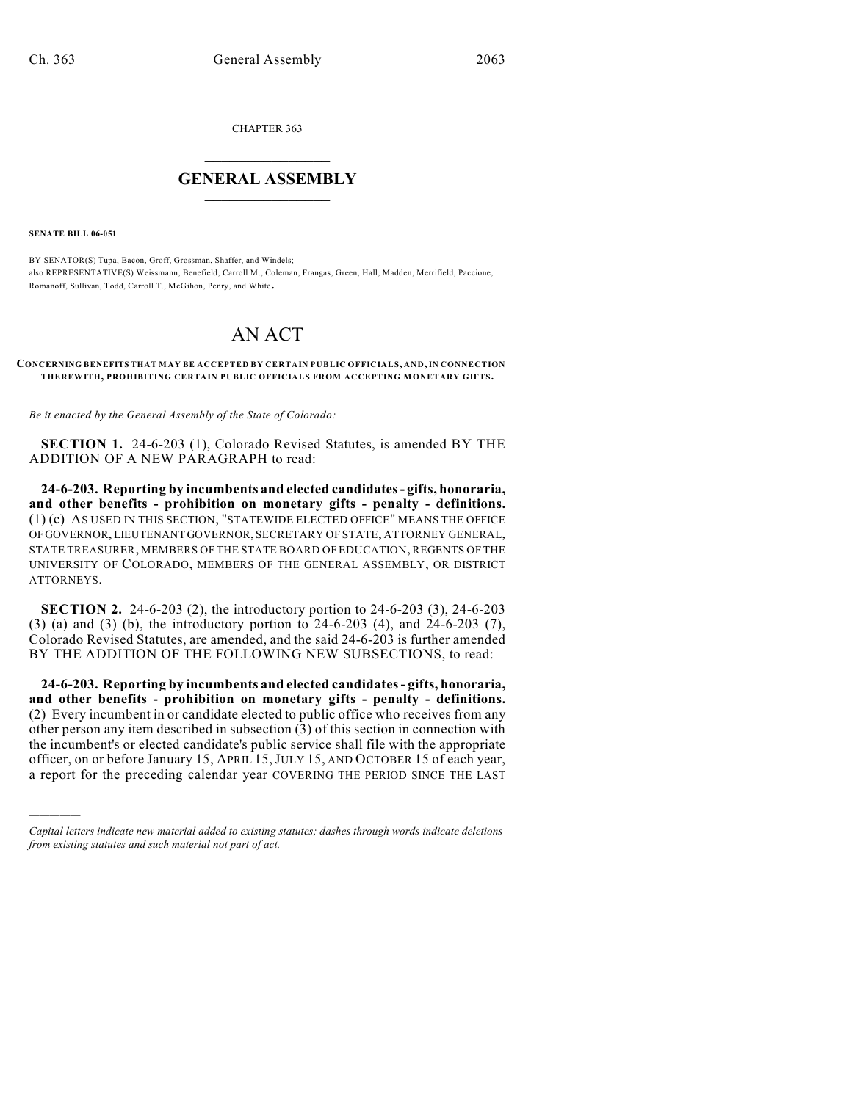CHAPTER 363

## $\mathcal{L}_\text{max}$  . The set of the set of the set of the set of the set of the set of the set of the set of the set of the set of the set of the set of the set of the set of the set of the set of the set of the set of the set **GENERAL ASSEMBLY**  $\frac{1}{\sqrt{2}}$

**SENATE BILL 06-051**

)))))

BY SENATOR(S) Tupa, Bacon, Groff, Grossman, Shaffer, and Windels; also REPRESENTATIVE(S) Weissmann, Benefield, Carroll M., Coleman, Frangas, Green, Hall, Madden, Merrifield, Paccione, Romanoff, Sullivan, Todd, Carroll T., McGihon, Penry, and White.

## AN ACT

## **CONCERNING BENEFITS THAT MAY BE ACCEPTED BY CERTAIN PUBLIC OFFICIALS, AND, IN CONNECTION THEREWITH, PROHIBITING CERTAIN PUBLIC OFFICIALS FROM ACCEPTING MONETARY GIFTS.**

*Be it enacted by the General Assembly of the State of Colorado:*

**SECTION 1.** 24-6-203 (1), Colorado Revised Statutes, is amended BY THE ADDITION OF A NEW PARAGRAPH to read:

**24-6-203. Reporting by incumbents and elected candidates - gifts, honoraria, and other benefits - prohibition on monetary gifts - penalty - definitions.** (1) (c) AS USED IN THIS SECTION, "STATEWIDE ELECTED OFFICE" MEANS THE OFFICE OF GOVERNOR, LIEUTENANT GOVERNOR, SECRETARY OF STATE, ATTORNEY GENERAL, STATE TREASURER, MEMBERS OF THE STATE BOARD OF EDUCATION, REGENTS OF THE UNIVERSITY OF COLORADO, MEMBERS OF THE GENERAL ASSEMBLY, OR DISTRICT ATTORNEYS.

**SECTION 2.** 24-6-203 (2), the introductory portion to 24-6-203 (3), 24-6-203 (3) (a) and (3) (b), the introductory portion to 24-6-203 (4), and 24-6-203 (7), Colorado Revised Statutes, are amended, and the said 24-6-203 is further amended BY THE ADDITION OF THE FOLLOWING NEW SUBSECTIONS, to read:

**24-6-203. Reporting by incumbents and elected candidates - gifts, honoraria, and other benefits - prohibition on monetary gifts - penalty - definitions.** (2) Every incumbent in or candidate elected to public office who receives from any other person any item described in subsection (3) of this section in connection with the incumbent's or elected candidate's public service shall file with the appropriate officer, on or before January 15, APRIL 15,JULY 15, AND OCTOBER 15 of each year, a report for the preceding calendar year COVERING THE PERIOD SINCE THE LAST

*Capital letters indicate new material added to existing statutes; dashes through words indicate deletions from existing statutes and such material not part of act.*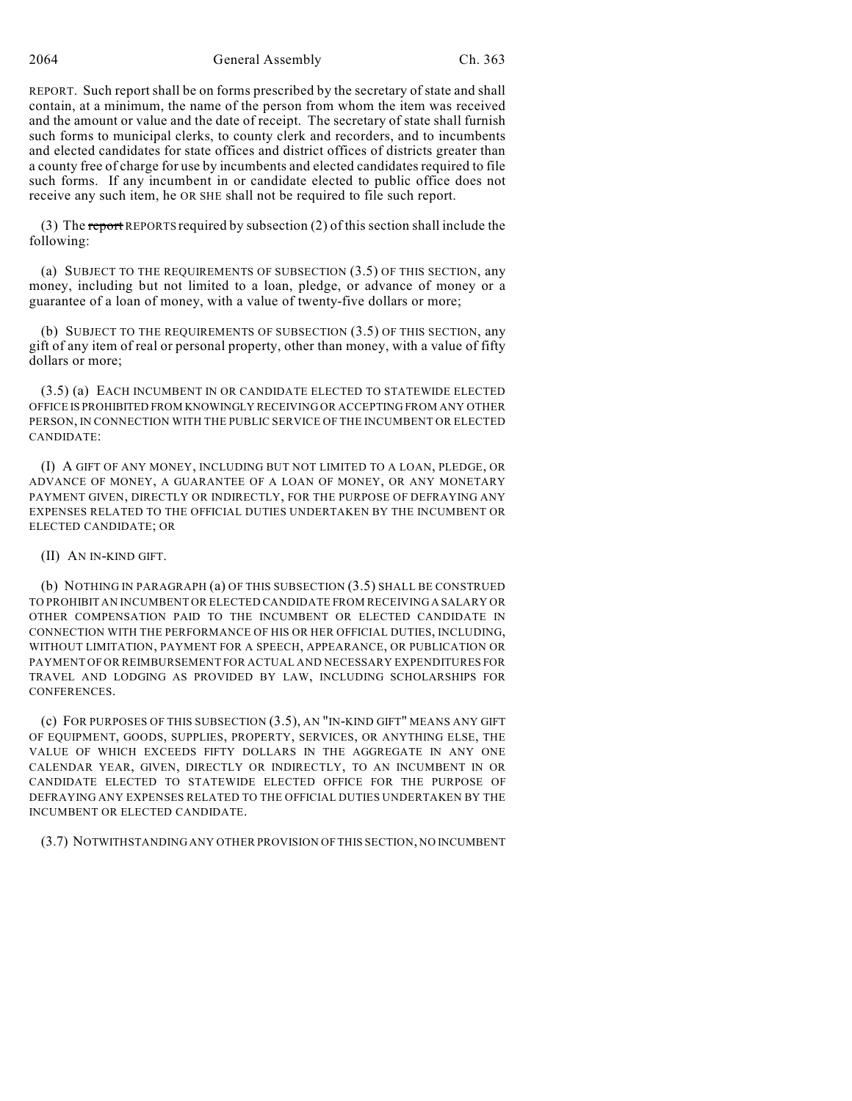REPORT. Such report shall be on forms prescribed by the secretary of state and shall contain, at a minimum, the name of the person from whom the item was received and the amount or value and the date of receipt. The secretary of state shall furnish such forms to municipal clerks, to county clerk and recorders, and to incumbents and elected candidates for state offices and district offices of districts greater than a county free of charge for use by incumbents and elected candidates required to file such forms. If any incumbent in or candidate elected to public office does not receive any such item, he OR SHE shall not be required to file such report.

(3) The report REPORTS required by subsection (2) of this section shall include the following:

(a) SUBJECT TO THE REQUIREMENTS OF SUBSECTION (3.5) OF THIS SECTION, any money, including but not limited to a loan, pledge, or advance of money or a guarantee of a loan of money, with a value of twenty-five dollars or more;

(b) SUBJECT TO THE REQUIREMENTS OF SUBSECTION (3.5) OF THIS SECTION, any gift of any item of real or personal property, other than money, with a value of fifty dollars or more;

(3.5) (a) EACH INCUMBENT IN OR CANDIDATE ELECTED TO STATEWIDE ELECTED OFFICE IS PROHIBITED FROM KNOWINGLY RECEIVING OR ACCEPTING FROM ANY OTHER PERSON, IN CONNECTION WITH THE PUBLIC SERVICE OF THE INCUMBENT OR ELECTED CANDIDATE:

(I) A GIFT OF ANY MONEY, INCLUDING BUT NOT LIMITED TO A LOAN, PLEDGE, OR ADVANCE OF MONEY, A GUARANTEE OF A LOAN OF MONEY, OR ANY MONETARY PAYMENT GIVEN, DIRECTLY OR INDIRECTLY, FOR THE PURPOSE OF DEFRAYING ANY EXPENSES RELATED TO THE OFFICIAL DUTIES UNDERTAKEN BY THE INCUMBENT OR ELECTED CANDIDATE; OR

(II) AN IN-KIND GIFT.

(b) NOTHING IN PARAGRAPH (a) OF THIS SUBSECTION (3.5) SHALL BE CONSTRUED TO PROHIBIT AN INCUMBENT OR ELECTED CANDIDATE FROM RECEIVING A SALARY OR OTHER COMPENSATION PAID TO THE INCUMBENT OR ELECTED CANDIDATE IN CONNECTION WITH THE PERFORMANCE OF HIS OR HER OFFICIAL DUTIES, INCLUDING, WITHOUT LIMITATION, PAYMENT FOR A SPEECH, APPEARANCE, OR PUBLICATION OR PAYMENT OF OR REIMBURSEMENT FOR ACTUAL AND NECESSARY EXPENDITURES FOR TRAVEL AND LODGING AS PROVIDED BY LAW, INCLUDING SCHOLARSHIPS FOR CONFERENCES.

(c) FOR PURPOSES OF THIS SUBSECTION (3.5), AN "IN-KIND GIFT" MEANS ANY GIFT OF EQUIPMENT, GOODS, SUPPLIES, PROPERTY, SERVICES, OR ANYTHING ELSE, THE VALUE OF WHICH EXCEEDS FIFTY DOLLARS IN THE AGGREGATE IN ANY ONE CALENDAR YEAR, GIVEN, DIRECTLY OR INDIRECTLY, TO AN INCUMBENT IN OR CANDIDATE ELECTED TO STATEWIDE ELECTED OFFICE FOR THE PURPOSE OF DEFRAYING ANY EXPENSES RELATED TO THE OFFICIAL DUTIES UNDERTAKEN BY THE INCUMBENT OR ELECTED CANDIDATE.

(3.7) NOTWITHSTANDING ANY OTHER PROVISION OF THIS SECTION, NO INCUMBENT